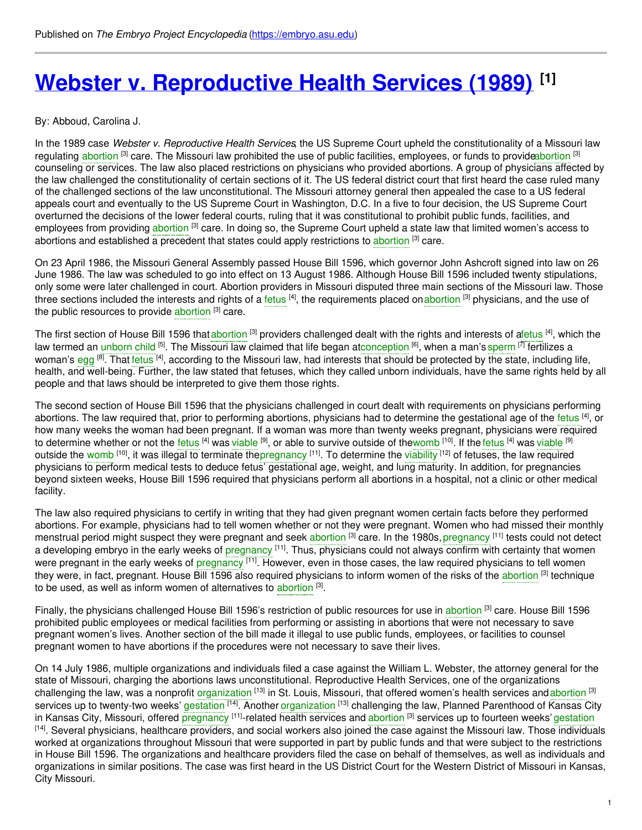# **Webster v. [Reproductive](https://embryo.asu.edu/pages/webster-v-reproductive-health-services-1989) Health Services (1989) [1]**

#### By: Abboud, Carolina J.

In the 1989 case *Webster v. Reproductive Health Services*, the US Supreme Court upheld the constitutionality of a Missouri law regulating [abortion](https://embryo.asu.edu/search?text=abortion) <sup>[3]</sup> care. The Missouri law prohibited the use of public facilities, employees, or funds to provid[eabortion](https://embryo.asu.edu/search?text=abortion) <sup>[3]</sup> counseling or services. The law also placed restrictions on physicians who provided abortions. A group of physicians affected by the law challenged the constitutionality of certain sections of it. The US federal district court that first heard the case ruled many of the challenged sections of the law unconstitutional. The Missouri attorney general then appealed the case to a US federal appeals court and eventually to the US Supreme Court in Washington, D.C. In a five to four decision, the US Supreme Court overturned the decisions of the lower federal courts, ruling that it was constitutional to prohibit public funds, facilities, and employees from providing [abortion](https://embryo.asu.edu/search?text=abortion) <sup>[3]</sup> care. In doing so, the Supreme Court upheld a state law that limited women's access to [abortion](https://embryo.asu.edu/search?text=abortion)s and established a precedent that states could apply restrictions to abortion <sup>[3]</sup> care.

On 23 April 1986, the Missouri General Assembly passed House Bill 1596, which governor John Ashcroft signed into law on 26 June 1986. The law was scheduled to go into effect on 13 August 1986. Although House Bill 1596 included twenty stipulations, only some were later challenged in court. Abortion providers in Missouri disputed three main sections of the Missouri law. Those three sections included the interests and rights of a [fetus](https://embryo.asu.edu/search?text=fetus) <sup>[4]</sup>, the requirements placed on[abortion](https://embryo.asu.edu/search?text=abortion) <sup>[3]</sup> physicians, and the use of the public resources to provide [abortion](https://embryo.asu.edu/search?text=abortion) [3] care.

The first section of House Bill 1596 that [abortion](https://embryo.asu.edu/search?text=abortion) <sup>[3]</sup> providers challenged dealt with the rights and interests of [afetus](https://embryo.asu.edu/search?text=fetus) <sup>[4]</sup>, which the law termed an [unborn](https://embryo.asu.edu/search?text=unborn%20child) child <sup>[5]</sup>. The Missouri law claimed that life began a[tconception](https://embryo.asu.edu/search?text=conception) <sup>[6]</sup>, when a man's [sperm](https://embryo.asu.edu/search?text=sperm) <sup>[7]</sup> fertilizes a woman's [egg](https://embryo.asu.edu/search?text=egg) <sup>[8]</sup>. That [fetus](https://embryo.asu.edu/search?text=fetus) <sup>[4]</sup>, according to the Missouri law, had interests that should be protected by the state, including life, health, and well-being. Further, the law stated that fetuses, which they called unborn individuals, have the same rights held by all people and that laws should be interpreted to give them those rights.

The second section of House Bill 1596 that the physicians challenged in court dealt with requirements on physicians performing abortions. The law required that, prior to performing abortions, physicians had to determine the gestational age of the [fetus](https://embryo.asu.edu/search?text=fetus) <sup>[4]</sup>, or how many weeks the woman had been pregnant. If a woman was more than twenty weeks pregnant, physicians were required to determine whether or not the [fetus](https://embryo.asu.edu/search?text=fetus) <sup>[4]</sup> was [viable](https://embryo.asu.edu/search?text=viable) <sup>[9]</sup>, or able to survive outside of the[womb](https://embryo.asu.edu/search?text=womb) <sup>[10]</sup>. If the fetus <sup>[4]</sup> was viable <sup>[9]</sup> outside the [womb](https://embryo.asu.edu/search?text=womb) <sup>[10]</sup>, it was illegal to terminate the[pregnancy](https://embryo.asu.edu/search?text=pregnancy) <sup>[11]</sup>. To determine the [viability](https://embryo.asu.edu/search?text=viability) <sup>[12]</sup> of fetuses, the law required physicians to perform medical tests to deduce fetus' gestational age, weight, and lung maturity. In addition, for pregnancies beyond sixteen weeks, House Bill 1596 required that physicians perform all abortions in a hospital, not a clinic or other medical facility.

The law also required physicians to certify in writing that they had given pregnant women certain facts before they performed abortions. For example, physicians had to tell women whether or not they were pregnant. Women who had missed their monthly menstrual period might suspect they were pregnant and seek [abortion](https://embryo.asu.edu/search?text=abortion) <sup>[3]</sup> care. In the 1980s, [pregnancy](https://embryo.asu.edu/search?text=pregnancy) <sup>[11]</sup> tests could not detect a developing embryo in the early weeks of [pregnancy](https://embryo.asu.edu/search?text=pregnancy) <sup>[11]</sup>. Thus, physicians could not always confirm with certainty that women were pregnant in the early weeks of [pregnancy](https://embryo.asu.edu/search?text=pregnancy) <sup>[11]</sup>. However, even in those cases, the law required physicians to tell women they were, in fact, pregnant. House Bill 1596 also required physicians to inform women of the risks of the [abortion](https://embryo.asu.edu/search?text=abortion) <sup>[3]</sup> technique to be used, as well as inform women of alternatives to [abortion](https://embryo.asu.edu/search?text=abortion) [3].

Finally, the physicians challenged House Bill 1596's restriction of public resources for use in [abortion](https://embryo.asu.edu/search?text=abortion) <sup>[3]</sup> care. House Bill 1596 prohibited public employees or medical facilities from performing or assisting in abortions that were not necessary to save pregnant women's lives. Another section of the bill made it illegal to use public funds, employees, or facilities to counsel pregnant women to have abortions if the procedures were not necessary to save their lives.

On 14 July 1986, multiple organizations and individuals filed a case against the William L. Webster, the attorney general for the state of Missouri, charging the abortions laws unconstitutional. Reproductive Health Services, one of the organizations challenging the law, was a nonprofit [organization](https://embryo.asu.edu/search?text=organization) <sup>[13]</sup> in St. Louis, Missouri, that offered women's health services and [abortion](https://embryo.asu.edu/search?text=abortion) <sup>[3]</sup> services up to twenty-two weeks' [gestation](https://embryo.asu.edu/search?text=gestation) <sup>[14]</sup>. Another [organization](https://embryo.asu.edu/search?text=organization) <sup>[13]</sup> challenging the law, Planned Parenthood of Kansas City in Kansas City, Missouri, offered [pregnancy](https://embryo.asu.edu/search?text=pregnancy) <sup>[11]</sup>-related health services and [abortion](https://embryo.asu.edu/search?text=abortion) <sup>[3]</sup> services up to fourteen weeks' [gestation](https://embryo.asu.edu/search?text=gestation) <sup>[14]</sup>. Several physicians, healthcare providers, and social workers also joined the case against the Missouri law. Those individuals worked at organizations throughout Missouri that were supported in part by public funds and that were subject to the restrictions in House Bill 1596. The organizations and healthcare providers filed the case on behalf of themselves, as well as individuals and organizations in similar positions. The case was first heard in the US District Court for the Western District of Missouri in Kansas, City Missouri.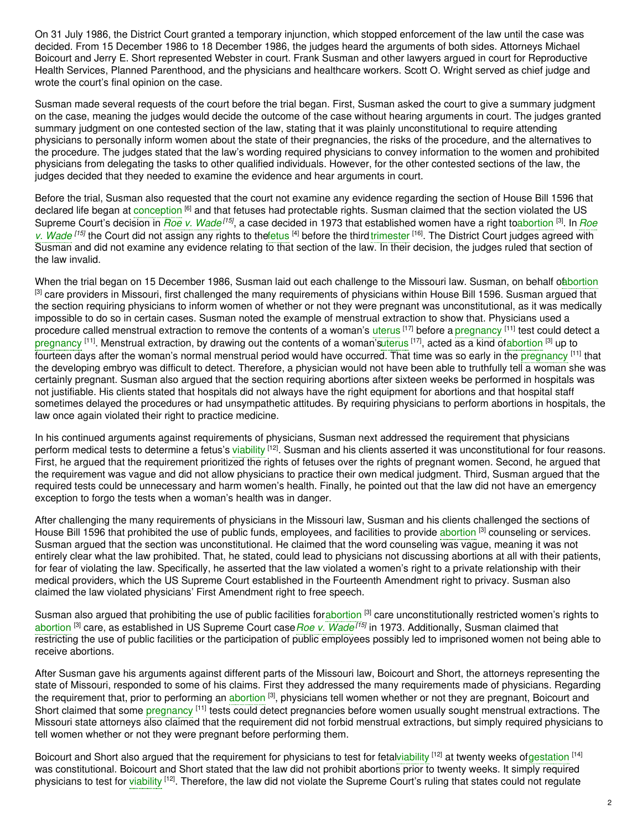On 31 July 1986, the District Court granted a temporary injunction, which stopped enforcement of the law until the case was decided. From 15 December 1986 to 18 December 1986, the judges heard the arguments of both sides. Attorneys Michael Boicourt and Jerry E. Short represented Webster in court. Frank Susman and other lawyers argued in court for Reproductive Health Services, Planned Parenthood, and the physicians and healthcare workers. Scott O. Wright served as chief judge and wrote the court's final opinion on the case.

Susman made several requests of the court before the trial began. First, Susman asked the court to give a summary judgment on the case, meaning the judges would decide the outcome of the case without hearing arguments in court. The judges granted summary judgment on one contested section of the law, stating that it was plainly unconstitutional to require attending physicians to personally inform women about the state of their pregnancies, the risks of the procedure, and the alternatives to the procedure. The judges stated that the law's wording required physicians to convey information to the women and prohibited physicians from delegating the tasks to other qualified individuals. However, for the other contested sections of the law, the judges decided that they needed to examine the evidence and hear arguments in court.

Before the trial, Susman also requested that the court not examine any evidence regarding the section of House Bill 1596 that declared life began at [conception](https://embryo.asu.edu/search?text=conception) <sup>[6]</sup> and that fetuses had protectable rights. Susman claimed that the section violated the US Supreme Court's decision in *Roe v. [Wade](https://embryo.asu.edu/search?text=Roe%20v.%20Wade)<sup>[15]</sup>*, a case decided in 1973 that established women have a right to[abortion](https://embryo.asu.edu/search?text=abortion) <sup>[3]</sup>. In *Roe* v. Wade <sup>[15]</sup> the Court did not assign any rights to the etus <sup>[4]</sup> before the third trimester <sup>[16]</sup>. The District Court judges agreed with Susman and did not examine any evidence relating to that section of the law. In their decision, the judges ruled that section of the law invalid.

When the trial began on 15 December 1986, Susman laid out each challenge to the Missouri law. Susman, on behalf of abortion [3] care providers in Missouri, first challenged the many requirements of physicians within House Bill 1596. Susman argued that the section requiring physicians to inform women of whether or not they were pregnant was unconstitutional, as it was medically impossible to do so in certain cases. Susman noted the example of menstrual extraction to show that. Physicians used a procedure called menstrual extraction to remove the contents of a woman's [uterus](https://embryo.asu.edu/search?text=uterus) <sup>[17]</sup> before a [pregnancy](https://embryo.asu.edu/search?text=pregnancy) <sup>[11]</sup> test could detect a [pregnancy](https://embryo.asu.edu/search?text=pregnancy) [11]. Menstrual extraction, by drawing out the contents of a woman'[suterus](https://embryo.asu.edu/search?text=uterus) [17], acted as a kind of[abortion](https://embryo.asu.edu/search?text=abortion) [3] up to fourteen days after the woman's normal menstrual period would have occurred. That time was so early in the <mark>[pregnancy](https://embryo.asu.edu/search?text=pregnancy) [11] that</mark> the developing embryo was difficult to detect. Therefore, a physician would not have been able to truthfully tell a woman she was certainly pregnant. Susman also argued that the section requiring abortions after sixteen weeks be performed in hospitals was not justifiable. His clients stated that hospitals did not always have the right equipment for abortions and that hospital staff sometimes delayed the procedures or had unsympathetic attitudes. By requiring physicians to perform abortions in hospitals, the law once again violated their right to practice medicine.

In his continued arguments against requirements of physicians, Susman next addressed the requirement that physicians perform medical tests to determine a fetus's [viability](https://embryo.asu.edu/search?text=viability) <sup>[12]</sup>. Susman and his clients asserted it was unconstitutional for four reasons. First, he argued that the requirement prioritized the rights of fetuses over the rights of pregnant women. Second, he argued that the requirement was vague and did not allow physicians to practice their own medical judgment. Third, Susman argued that the required tests could be unnecessary and harm women's health. Finally, he pointed out that the law did not have an emergency exception to forgo the tests when a woman's health was in danger.

After challenging the many requirements of physicians in the Missouri law, Susman and his clients challenged the sections of House Bill 1596 that prohibited the use of public funds, employees, and facilities to provide [abortion](https://embryo.asu.edu/search?text=abortion) [3] counseling or services. Susman argued that the section was unconstitutional. He claimed that the word counseling was vague, meaning it was not entirely clear what the law prohibited. That, he stated, could lead to physicians not discussing abortions at all with their patients, for fear of violating the law. Specifically, he asserted that the law violated a women's right to a private relationship with their medical providers, which the US Supreme Court established in the Fourteenth Amendment right to privacy. Susman also claimed the law violated physicians' First Amendment right to free speech.

Susman also argued that prohibiting the use of public facilities for[abortion](https://embryo.asu.edu/search?text=abortion) [3] care unconstitutionally restricted women's rights to [abortion](https://embryo.asu.edu/search?text=abortion) [3] care, as established in US Supreme Court case*Roe v. [Wade](https://embryo.asu.edu/search?text=Roe%20v.%20Wade) [15]* in 1973. Additionally, Susman claimed that restricting the use of public facilities or the participation of public employees possibly led to imprisoned women not being able to receive abortions.

After Susman gave his arguments against different parts of the Missouri law, Boicourt and Short, the attorneys representing the state of Missouri, responded to some of his claims. First they addressed the many requirements made of physicians. Regarding the requirement that, prior to performing an [abortion](https://embryo.asu.edu/search?text=abortion) <sup>[3]</sup>, physicians tell women whether or not they are pregnant, Boicourt and Short claimed that some [pregnancy](https://embryo.asu.edu/search?text=pregnancy) <sup>[11]</sup> tests could detect pregnancies before women usually sought menstrual extractions. The Missouri state attorneys also claimed that the requirement did not forbid menstrual extractions, but simply required physicians to tell women whether or not they were pregnant before performing them.

Boicourt and Short also argued that the requirement for physicians to test for feta[lviability](https://embryo.asu.edu/search?text=viability) [12] at twenty weeks of[gestation](https://embryo.asu.edu/search?text=gestation) [14] was constitutional. Boicourt and Short stated that the law did not prohibit abortions prior to twenty weeks. It simply required physicians to test for [viability](https://embryo.asu.edu/search?text=viability) <sup>[12]</sup>. Therefore, the law did not violate the Supreme Court's ruling that states could not regulate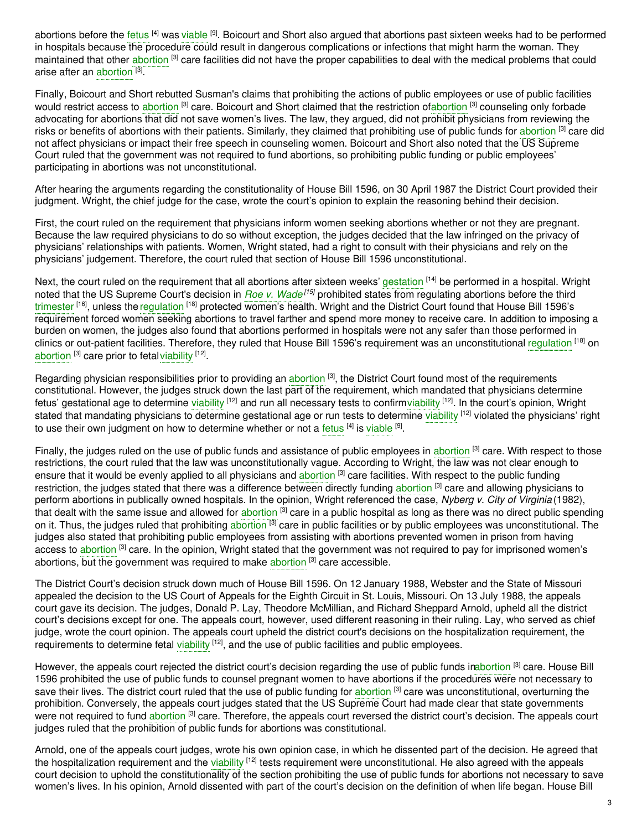abortions before the [fetus](https://embryo.asu.edu/search?text=fetus) <sup>[4]</sup> was [viable](https://embryo.asu.edu/search?text=viable) <sup>[9]</sup>. Boicourt and Short also argued that abortions past sixteen weeks had to be performed in hospitals because the procedure could result in dangerous complications or infections that might harm the woman. They maintained that other [abortion](https://embryo.asu.edu/search?text=abortion) <sup>[3]</sup> care facilities did not have the proper capabilities to deal with the medical problems that could arise after an [abortion](https://embryo.asu.edu/search?text=abortion) [3].

Finally, Boicourt and Short rebutted Susman's claims that prohibiting the actions of public employees or use of public facilities would restrict access to [abortion](https://embryo.asu.edu/search?text=abortion) <sup>[3]</sup> care. Boicourt and Short claimed that the restriction o[fabortion](https://embryo.asu.edu/search?text=abortion) <sup>[3]</sup> counseling only forbade advocating for abortions that did not save women's lives. The law, they argued, did not prohibit physicians from reviewing the risks or benefits of [abortion](https://embryo.asu.edu/search?text=abortion)s with their patients. Similarly, they claimed that prohibiting use of public funds for abortion <sup>[3]</sup> care did not affect physicians or impact their free speech in counseling women. Boicourt and Short also noted that the US Supreme Court ruled that the government was not required to fund abortions, so prohibiting public funding or public employees' participating in abortions was not unconstitutional.

After hearing the arguments regarding the constitutionality of House Bill 1596, on 30 April 1987 the District Court provided their judgment. Wright, the chief judge for the case, wrote the court's opinion to explain the reasoning behind their decision.

First, the court ruled on the requirement that physicians inform women seeking abortions whether or not they are pregnant. Because the law required physicians to do so without exception, the judges decided that the law infringed on the privacy of physicians' relationships with patients. Women, Wright stated, had a right to consult with their physicians and rely on the physicians' judgement. Therefore, the court ruled that section of House Bill 1596 unconstitutional.

Next, the court ruled on the requirement that all abortions after sixteen weeks' [gestation](https://embryo.asu.edu/search?text=gestation) <sup>[14]</sup> be performed in a hospital. Wright noted that the US Supreme Court's decision in *Roe v. [Wade](https://embryo.asu.edu/search?text=Roe%20v.%20Wade) [15]* prohibited states from regulating abortions before the third [trimester](https://embryo.asu.edu/search?text=trimester) <sup>[16]</sup>, unless the [regulation](https://embryo.asu.edu/search?text=regulation) <sup>[18]</sup> protected women's health. Wright and the District Court found that House Bill 1596's requirement forced women seeking abortions to travel farther and spend more money to receive care. In addition to imposing a burden on women, the judges also found that abortions performed in hospitals were not any safer than those performed in clinics or out-patient facilities. Therefore, they ruled that House Bill 1596's requirement was an unconstitutional [regulation](https://embryo.asu.edu/search?text=regulation) <sup>[18]</sup> on [abortion](https://embryo.asu.edu/search?text=abortion) <sup>[3]</sup> care prior to fetal [viability](https://embryo.asu.edu/search?text=viability) <sup>[12]</sup>.

Regarding physician responsibilities prior to providing an [abortion](https://embryo.asu.edu/search?text=abortion) <sup>[3]</sup>, the District Court found most of the requirements constitutional. However, the judges struck down the last part of the requirement, which mandated that physicians determine fetus' gestational age to determine [viability](https://embryo.asu.edu/search?text=viability) <sup>[12]</sup> and run all necessary tests to confirmviability <sup>[12]</sup>. In the court's opinion, Wright stated that mandating physicians to determine gestational age or run tests to determine [viability](https://embryo.asu.edu/search?text=viability) <sup>[12]</sup> violated the physicians' right to use their own judgment on how to determine whether or not a [fetus](https://embryo.asu.edu/search?text=fetus) <sup>[4]</sup> is [viable](https://embryo.asu.edu/search?text=viable) <sup>[9]</sup>.

Finally, the judges ruled on the use of public funds and assistance of public employees in [abortion](https://embryo.asu.edu/search?text=abortion) <sup>[3]</sup> care. With respect to those restrictions, the court ruled that the law was unconstitutionally vague. According to Wright, the law was not clear enough to ensure that it would be evenly applied to all physicians and [abortion](https://embryo.asu.edu/search?text=abortion) <sup>[3]</sup> care facilities. With respect to the public funding restriction, the judges stated that there was a difference between directly funding a<mark>bortion [3]</mark> care and allowing physicians to perform abortions in publically owned hospitals. In the opinion, Wright referenced the case, *Nyberg v. City of Virginia* (1982), that dealt with the same issue and allowed for [abortion](https://embryo.asu.edu/search?text=abortion) <sup>[3]</sup> care in a public hospital as long as there was no direct public spending on it. Thus, the judges ruled that prohibiting [abortion](https://embryo.asu.edu/search?text=abortion) <sup>[3]</sup> care in public facilities or by public employees was unconstitutional. The judges also stated that prohibiting public employees from assisting with abortions prevented women in prison from having access to [abortion](https://embryo.asu.edu/search?text=abortion) <sup>[3]</sup> care. In the opinion, Wright stated that the government was not required to pay for imprisoned women's [abortion](https://embryo.asu.edu/search?text=abortion)s, but the government was required to make abortion <sup>[3]</sup> care accessible.

The District Court's decision struck down much of House Bill 1596. On 12 January 1988, Webster and the State of Missouri appealed the decision to the US Court of Appeals for the Eighth Circuit in St. Louis, Missouri. On 13 July 1988, the appeals court gave its decision. The judges, Donald P. Lay, Theodore McMillian, and Richard Sheppard Arnold, upheld all the district court's decisions except for one. The appeals court, however, used different reasoning in their ruling. Lay, who served as chief judge, wrote the court opinion. The appeals court upheld the district court's decisions on the hospitalization requirement, the requirements to determine fetal [viability](https://embryo.asu.edu/search?text=viability) <sup>[12]</sup>, and the use of public facilities and public employees.

However, the appeals court rejected the district court's decision regarding the use of public funds i[nabortion](https://embryo.asu.edu/search?text=abortion) <sup>[3]</sup> care. House Bill 1596 prohibited the use of public funds to counsel pregnant women to have abortions if the procedures were not necessary to save their lives. The district court ruled that the use of public funding for [abortion](https://embryo.asu.edu/search?text=abortion) <sup>[3]</sup> care was unconstitutional, overturning the prohibition. Conversely, the appeals court judges stated that the US Supreme Court had made clear that state governments were not required to fund [abortion](https://embryo.asu.edu/search?text=abortion) <sup>[3]</sup> care. Therefore, the appeals court reversed the district court's decision. The appeals court judges ruled that the prohibition of public funds for abortions was constitutional.

Arnold, one of the appeals court judges, wrote his own opinion case, in which he dissented part of the decision. He agreed that the hospitalization requirement and the [viability](https://embryo.asu.edu/search?text=viability) <sup>[12]</sup> tests requirement were unconstitutional. He also agreed with the appeals court decision to uphold the constitutionality of the section prohibiting the use of public funds for abortions not necessary to save women's lives. In his opinion, Arnold dissented with part of the court's decision on the definition of when life began. House Bill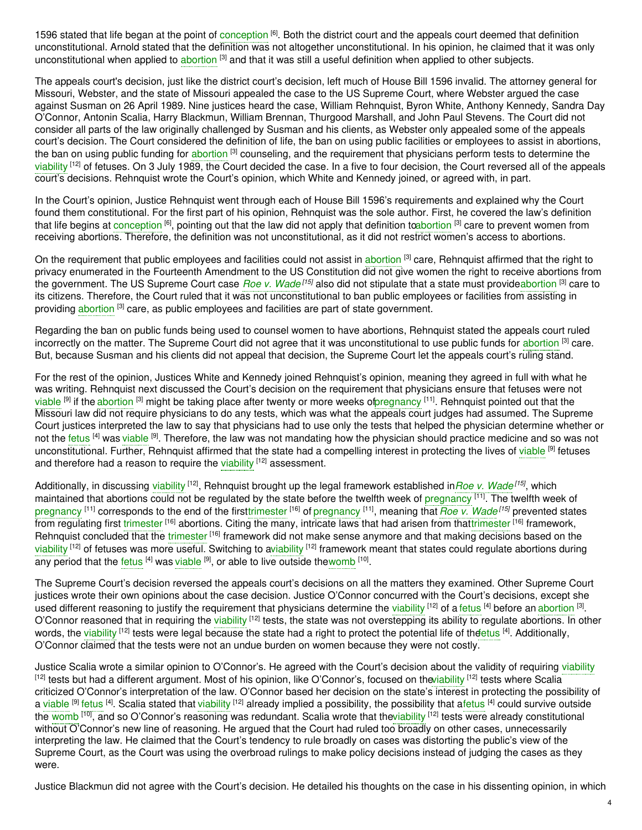1596 stated that life began at the point of [conception](https://embryo.asu.edu/search?text=conception) <sup>[6]</sup>. Both the district court and the appeals court deemed that definition unconstitutional. Arnold stated that the definition was not altogether unconstitutional. In his opinion, he claimed that it was only unconstitutional when applied to [abortion](https://embryo.asu.edu/search?text=abortion) <sup>[3]</sup> and that it was still a useful definition when applied to other subjects.

The appeals court's decision, just like the district court's decision, left much of House Bill 1596 invalid. The attorney general for Missouri, Webster, and the state of Missouri appealed the case to the US Supreme Court, where Webster argued the case against Susman on 26 April 1989. Nine justices heard the case, William Rehnquist, Byron White, Anthony Kennedy, Sandra Day O'Connor, Antonin Scalia, Harry Blackmun, William Brennan, Thurgood Marshall, and John Paul Stevens. The Court did not consider all parts of the law originally challenged by Susman and his clients, as Webster only appealed some of the appeals court's decision. The Court considered the definition of life, the ban on using public facilities or employees to assist in abortions, the ban on using public funding for [abortion](https://embryo.asu.edu/search?text=abortion) <sup>[3]</sup> counseling, and the requirement that physicians perform tests to determine the [viability](https://embryo.asu.edu/search?text=viability) <sup>[12]</sup> of fetuses. On 3 July 1989, the Court decided the case. In a five to four decision, the Court reversed all of the appeals court's decisions. Rehnquist wrote the Court's opinion, which White and Kennedy joined, or agreed with, in part.

In the Court's opinion, Justice Rehnquist went through each of House Bill 1596's requirements and explained why the Court found them constitutional. For the first part of his opinion, Rehnquist was the sole author. First, he covered the law's definition that life begins at [conception](https://embryo.asu.edu/search?text=conception) <sup>[6]</sup>, pointing out that the law did not apply that definition t[oabortion](https://embryo.asu.edu/search?text=abortion) <sup>[3]</sup> care to prevent women from receiving abortions. Therefore, the definition was not unconstitutional, as it did not restrict women's access to abortions.

On the requirement that public employees and facilities could not assist in [abortion](https://embryo.asu.edu/search?text=abortion) <sup>[3]</sup> care, Rehnquist affirmed that the right to privacy enumerated in the Fourteenth Amendment to the US Constitution did not give women the right to receive abortions from the government. The US Supreme Court case *Roe v. [Wade](https://embryo.asu.edu/search?text=Roe%20v.%20Wade) [15]* also did not stipulate that a state must provid[eabortion](https://embryo.asu.edu/search?text=abortion) [3] care to its citizens. Therefore, the Court ruled that it was not unconstitutional to ban public employees or facilities from assisting in providing [abortion](https://embryo.asu.edu/search?text=abortion) <sup>[3]</sup> care, as public employees and facilities are part of state government.

Regarding the ban on public funds being used to counsel women to have abortions, Rehnquist stated the appeals court ruled incorrectly on the matter. The Supreme Court did not agree that it was unconstitutional to use public funds for [abortion](https://embryo.asu.edu/search?text=abortion) <sup>[3]</sup> care. But, because Susman and his clients did not appeal that decision, the Supreme Court let the appeals court's ruling stand.

For the rest of the opinion, Justices White and Kennedy joined Rehnquist's opinion, meaning they agreed in full with what he was writing. Rehnquist next discussed the Court's decision on the requirement that physicians ensure that fetuses were not [viable](https://embryo.asu.edu/search?text=viable) <sup>[9]</sup> if the [abortion](https://embryo.asu.edu/search?text=abortion) <sup>[3]</sup> might be taking place after twenty or more weeks o[fpregnancy](https://embryo.asu.edu/search?text=pregnancy) <sup>[11]</sup>. Rehnquist pointed out that the Missouri law did not require physicians to do any tests, which was what the appeals court judges had assumed. The Supreme Court justices interpreted the law to say that physicians had to use only the tests that helped the physician determine whether or not the [fetus](https://embryo.asu.edu/search?text=fetus) <sup>[4]</sup> was [viable](https://embryo.asu.edu/search?text=viable) <sup>[9]</sup>. Therefore, the law was not mandating how the physician should practice medicine and so was not unconstitutional. Further, Rehnquist affirmed that the state had a compelling interest in protecting the lives of [viable](https://embryo.asu.edu/search?text=viable) <sup>[9]</sup> fetuses and therefore had a reason to require the [viability](https://embryo.asu.edu/search?text=viability) <sup>[12]</sup> assessment.

Additionally, in discussing [viability](https://embryo.asu.edu/search?text=viability) <sup>[12]</sup>, Rehnquist brought up the legal framework established in*Roe v. [Wade](https://embryo.asu.edu/search?text=Roe%20v.%20Wade)<sup>[15]</sup>*, which maintained that abortions could not be regulated by the state before the twelfth week of [pregnancy](https://embryo.asu.edu/search?text=pregnancy) <sup>[11]</sup>. The twelfth week of [pregnancy](https://embryo.asu.edu/search?text=pregnancy) <sup>[11]</sup> corresponds to the end of the firs[ttrimester](https://embryo.asu.edu/search?text=trimester) <sup>[16]</sup> of pregnancy <sup>[11]</sup>, meaning that *Roe v. [Wade](https://embryo.asu.edu/search?text=Roe%20v.%20Wade)<sup>[15]</sup> prevented states* from regulating first [trimester](https://embryo.asu.edu/search?text=trimester) <sup>[16]</sup> abortions. Citing the many, intricate laws that had arisen from tha[ttrimester](https://embryo.asu.edu/search?text=trimester) <sup>[16]</sup> framework, Rehnquist concluded that the [trimester](https://embryo.asu.edu/search?text=trimester) <sup>[16]</sup> framework did not make sense anymore and that making decisions based on the [viability](https://embryo.asu.edu/search?text=viability) <sup>[12]</sup> of fetuses was more useful. Switching to [aviability](https://embryo.asu.edu/search?text=viability) <sup>[12]</sup> framework meant that states could regulate abortions during any period that the [fetus](https://embryo.asu.edu/search?text=fetus) <sup>[4]</sup> was [viable](https://embryo.asu.edu/search?text=viable) <sup>[9]</sup>, or able to live outside the[womb](https://embryo.asu.edu/search?text=womb) <sup>[10]</sup>.

The Supreme Court's decision reversed the appeals court's decisions on all the matters they examined. Other Supreme Court justices wrote their own opinions about the case decision. Justice O'Connor concurred with the Court's decisions, except she used different reasoning to justify the requirement that physicians determine the [viability](https://embryo.asu.edu/search?text=viability) <sup>[12]</sup> of a [fetus](https://embryo.asu.edu/search?text=fetus) <sup>[4]</sup> before an [abortion](https://embryo.asu.edu/search?text=abortion) <sup>[3]</sup>. O'Connor reasoned that in requiring the [viability](https://embryo.asu.edu/search?text=viability) <sup>[12]</sup> tests, the state was not overstepping its ability to regulate abortions. In other words, the [viability](https://embryo.asu.edu/search?text=viability) <sup>[12]</sup> tests were legal because the state had a right to protect the potential life of th<del>ɗe</del>tus <sup>[4]</sup>. Additionally, O'Connor claimed that the tests were not an undue burden on women because they were not costly.

Justice Scalia wrote a similar opinion to O'Connor's. He agreed with the Court's decision about the validity of requiring [viability](https://embryo.asu.edu/search?text=viability) <sup>[12]</sup> tests but had a different argument. Most of his opinion, like O'Connor's, focused on th[eviability](https://embryo.asu.edu/search?text=viability) <sup>[12]</sup> tests where Scalia criticized O'Connor's interpretation of the law. O'Connor based her decision on the state's interest in protecting the possibility of a [viable](https://embryo.asu.edu/search?text=viable) <sup>[9]</sup> [fetus](https://embryo.asu.edu/search?text=fetus) <sup>[4]</sup>. Scalia stated that [viability](https://embryo.asu.edu/search?text=viability) <sup>[12]</sup> already implied a possibility, the possibility that afetus <sup>[4]</sup> could survive outside the [womb](https://embryo.asu.edu/search?text=womb) <sup>[10]</sup>, and so O'Connor's reasoning was redundant. Scalia wrote that th[eviability](https://embryo.asu.edu/search?text=viability) <sup>[12]</sup> tests were already constitutional without O'Connor's new line of reasoning. He argued that the Court had ruled too broadly on other cases, unnecessarily interpreting the law. He claimed that the Court's tendency to rule broadly on cases was distorting the public's view of the Supreme Court, as the Court was using the overbroad rulings to make policy decisions instead of judging the cases as they were.

Justice Blackmun did not agree with the Court's decision. He detailed his thoughts on the case in his dissenting opinion, in which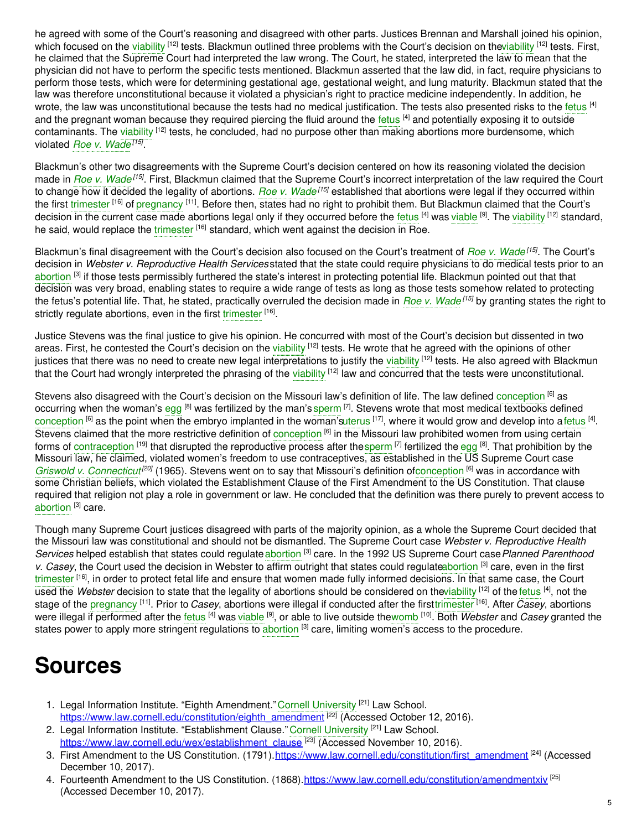he agreed with some of the Court's reasoning and disagreed with other parts. Justices Brennan and Marshall joined his opinion, which focused on the [viability](https://embryo.asu.edu/search?text=viability) <sup>[12]</sup> tests. Blackmun outlined three problems with the Court's decision on th[eviability](https://embryo.asu.edu/search?text=viability) <sup>[12]</sup> tests. First, he claimed that the Supreme Court had interpreted the law wrong. The Court, he stated, interpreted the law to mean that the physician did not have to perform the specific tests mentioned. Blackmun asserted that the law did, in fact, require physicians to perform those tests, which were for determining gestational age, gestational weight, and lung maturity. Blackmun stated that the law was therefore unconstitutional because it violated a physician's right to practice medicine independently. In addition, he wrote, the law was unconstitutional because the tests had no medical justification. The tests also presented risks to the [fetus](https://embryo.asu.edu/search?text=fetus) <sup>[4]</sup> and the pregnant woman because they required piercing the fluid around the [fetus](https://embryo.asu.edu/search?text=fetus) <sup>[4]</sup> and potentially exposing it to outside contaminants. The [viability](https://embryo.asu.edu/search?text=viability) <sup>[12]</sup> tests, he concluded, had no purpose other than making abortions more burdensome, which violated *Roe v. [Wade](https://embryo.asu.edu/search?text=Roe%20v.%20Wade) [15]* .

Blackmun's other two disagreements with the Supreme Court's decision centered on how its reasoning violated the decision made in *Roe v. [Wade](https://embryo.asu.edu/search?text=Roe%20v.%20Wade)<sup>[15]</sup>.* First, Blackmun claimed that the Supreme Court's incorrect interpretation of the law required the Court to change how it decided the legality of abortions. *Roe v. [Wade](https://embryo.asu.edu/search?text=Roe%20v.%20Wade) [15]* established that abortions were legal if they occurred within the first [trimester](https://embryo.asu.edu/search?text=trimester) <sup>[16]</sup> of [pregnancy](https://embryo.asu.edu/search?text=pregnancy) <sup>[11]</sup>. Before then, states had no right to prohibit them. But Blackmun claimed that the Court's decision in the current case made abortions legal only if they occurred before the [fetus](https://embryo.asu.edu/search?text=fetus) <sup>[4]</sup> was [viable](https://embryo.asu.edu/search?text=viable) <sup>[9]</sup>. The [viability](https://embryo.asu.edu/search?text=viability) <sup>[12]</sup> standard, he said, would replace the [trimester](https://embryo.asu.edu/search?text=trimester) <sup>[16]</sup> standard, which went against the decision in Roe.

Blackmun's final disagreement with the Court's decision also focused on the Court's treatment of *Roe v. [Wade](https://embryo.asu.edu/search?text=Roe%20v.%20Wade) [15]* . The Court's decision in *Webster v. Reproductive Health Services* stated that the state could require physicians to do medical tests prior to an [abortion](https://embryo.asu.edu/search?text=abortion) <sup>[3]</sup> if those tests permissibly furthered the state's interest in protecting potential life. Blackmun pointed out that that decision was very broad, enabling states to require a wide range of tests as long as those tests somehow related to protecting the fetus's potential life. That, he stated, practically overruled the decision made in *Roe v. [Wade](https://embryo.asu.edu/search?text=Roe%20v.%20Wade) [15]* by granting states the right to strictly regulate abortions, even in the first [trimester](https://embryo.asu.edu/search?text=trimester) [16].

Justice Stevens was the final justice to give his opinion. He concurred with most of the Court's decision but dissented in two areas. First, he contested the Court's decision on the [viability](https://embryo.asu.edu/search?text=viability) <sup>[12]</sup> tests. He wrote that he agreed with the opinions of other justices that there was no need to create new legal interpretations to justify the [viability](https://embryo.asu.edu/search?text=viability) <sup>[12]</sup> tests. He also agreed with Blackmun that the Court had wrongly interpreted the phrasing of the [viability](https://embryo.asu.edu/search?text=viability) <sup>[12]</sup> law and concurred that the tests were unconstitutional.

Stevens also disagreed with the Court's decision on the Missouri law's definition of life. The law defined [conception](https://embryo.asu.edu/search?text=conception) <sup>[6]</sup> as occurring when the woman's [egg](https://embryo.asu.edu/search?text=egg) <sup>[8]</sup> was fertilized by the man's [sperm](https://embryo.asu.edu/search?text=sperm) <sup>[7]</sup>. Stevens wrote that most medical textbooks defined [conception](https://embryo.asu.edu/search?text=conception) <sup>[6]</sup> as the point when the embryo implanted in the woman'[suterus](https://embryo.asu.edu/search?text=uterus) <sup>[17]</sup>, where it would grow and develop into a [fetus](https://embryo.asu.edu/search?text=fetus) <sup>[4]</sup>. Stevens claimed that the more restrictive definition of [conception](https://embryo.asu.edu/search?text=conception) <sup>[6]</sup> in the Missouri law prohibited women from using certain forms of [contraception](https://embryo.asu.edu/search?text=contraception) <sup>[19]</sup> that disrupted the reproductive process after the[sperm](https://embryo.asu.edu/search?text=sperm) [7] fertilized the [egg](https://embryo.asu.edu/search?text=egg) [8]. That prohibition by the Missouri law, he claimed, violated women's freedom to use contraceptives, as established in the US Supreme Court case Griswold v. [Connecticut](https://embryo.asu.edu/search?text=Griswold%20v.%20Connecticut)<sup>[20]</sup> (1965). Stevens went on to say that Missouri's definition o[fconception](https://embryo.asu.edu/search?text=conception) [6] was in accordance with some Christian beliefs, which violated the Establishment Clause of the First Amendment to the US Constitution. That clause required that religion not play a role in government or law. He concluded that the definition was there purely to prevent access to [abortion](https://embryo.asu.edu/search?text=abortion)<sup>[3]</sup> care.

Though many Supreme Court justices disagreed with parts of the majority opinion, as a whole the Supreme Court decided that the Missouri law was constitutional and should not be dismantled. The Supreme Court case *Webster v. Reproductive Health* Services helped establish that states could regulate [abortion](https://embryo.asu.edu/search?text=abortion)<sup>[3]</sup> care. In the 1992 US Supreme Court case Planned Parenthood *v. Casey*, the Court used the decision in Webster to affirm outright that states could regulat[eabortion](https://embryo.asu.edu/search?text=abortion) [3] care, even in the first [trimester](https://embryo.asu.edu/search?text=trimester) <sup>[16]</sup>, in order to protect fetal life and ensure that women made fully informed decisions. In that same case, the Court used the *Webster* decision to state that the legality of abortions should be considered on th[eviability](https://embryo.asu.edu/search?text=viability) [12] of the [fetus](https://embryo.asu.edu/search?text=fetus) [4], not the stage of the <mark>[pregnancy](https://embryo.asu.edu/search?text=pregnancy) [11]. Prior to *Casey*, abortions were illegal if conducted after the first[trimester](https://embryo.asu.edu/search?text=trimester) [16]. After *Casey*, abortions</mark> were illegal if performed after the [fetus](https://embryo.asu.edu/search?text=fetus) <sup>[4]</sup> was [viable](https://embryo.asu.edu/search?text=viable) <sup>[9]</sup>, or able to live outside the[womb](https://embryo.asu.edu/search?text=womb) <sup>[10]</sup>. Both *Webster* and *Casey* granted the states power to apply more stringent regulations to [abortion](https://embryo.asu.edu/search?text=abortion) <sup>[3]</sup> care, limiting women's access to the procedure.

# **Sources**

- 1. Legal Information Institute. "Eighth Amendment." Cornell [University](https://embryo.asu.edu/search?text=Cornell%20University) <sup>[21]</sup> Law School. [https://www.law.cornell.edu/constitution/eighth\\_amendment](https://www.law.cornell.edu/constitution/eighth_amendment)<sup>[22]</sup> (Accessed October 12, 2016).
- 2. Legal Information Institute. "Establishment Clause." Cornell [University](https://embryo.asu.edu/search?text=Cornell%20University) <sup>[21]</sup> Law School. [https://www.law.cornell.edu/wex/establishment\\_clause](https://www.law.cornell.edu/wex/establishment_clause)<sup>[23]</sup> (Accessed November 10, 2016).
- 3. First Amendment to the US Constitution. (1791).[https://www.law.cornell.edu/constitution/first\\_amendment](https://www.law.cornell.edu/constitution/first_amendment)<sup>[24]</sup> (Accessed December 10, 2017).
- 4. Fourteenth Amendment to the US Constitution. (1868). <https://www.law.cornell.edu/constitution/amendmentxiv><sup>[25]</sup> (Accessed December 10, 2017).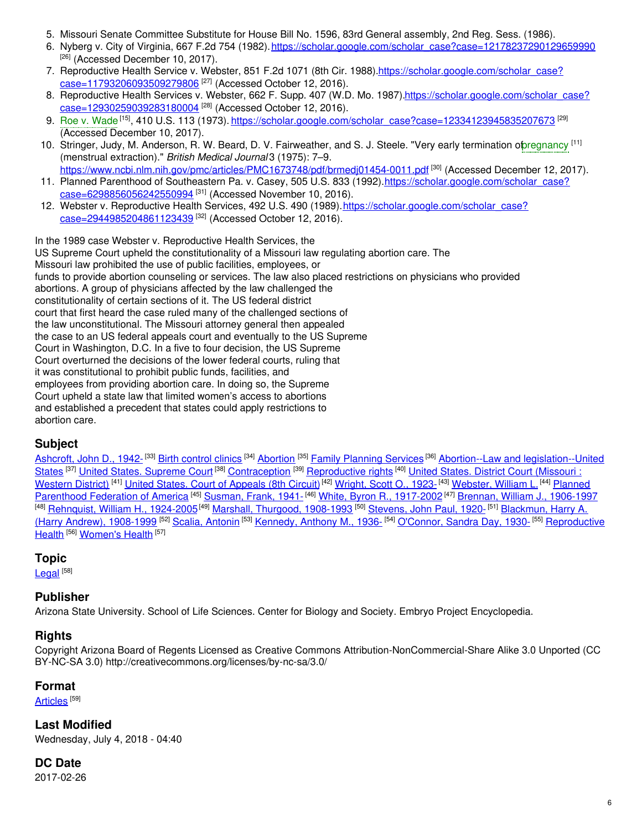- 5. Missouri Senate Committee Substitute for House Bill No. 1596, 83rd General assembly, 2nd Reg. Sess. (1986).
- 6. Nyberg v. City of Virginia, 667 F.2d 754 (1982). [https://scholar.google.com/scholar\\_case?case=12178237290129659990](https://scholar.google.com/scholar_case?case=12178237290129659990) [26] (Accessed December 10, 2017).
- 7. Reproductive Health Service v. Webster, 851 F.2d 1071 (8th Cir. [1988\).https://scholar.google.com/scholar\\_case?](https://scholar.google.com/scholar_case?case=11793206093509279806) case=11793206093509279806<sup>[27]</sup> (Accessed October 12, 2016).
- 8. Reproductive Health Services v. Webster, 662 F. Supp. 407 (W.D. Mo. [1987\).https://scholar.google.com/scholar\\_case?](https://scholar.google.com/scholar_case?case=12930259039283180004) case=12930259039283180004<sup>[28]</sup> (Accessed October 12, 2016).
- 9. Roe v. [Wade](https://embryo.asu.edu/search?text=Roe%20v.%20Wade)<sup>[15]</sup>, 410 U.S. 113 (1973). <u>[https://scholar.google.com/scholar\\_case?case=12334123945835207673](https://scholar.google.com/scholar_case?case=12334123945835207673)</u> <sup>[29]</sup> (Accessed December 10, 2017).
- 10. Stringer, Judy, M. Anderson, R. W. Beard, D. V. Fairweather, and S. J. Steele. "Very early termination opregnancy <sup>[11]</sup> (menstrual extraction)." *British Medical Journal* 3 (1975): 7–9. <https://www.ncbi.nlm.nih.gov/pmc/articles/PMC1673748/pdf/brmedj01454-0011.pdf> <sup>[30]</sup> (Accessed December 12, 2017).
- 11. Planned Parenthood of Southeastern Pa. v. Casey, 505 U.S. 833 (1992). https://scholar.google.com/scholar\_case? case=6298856056242550994 [31] (Accessed November 10, 2016).
- 12. Webster v. Reproductive Health Services, 492 U.S. 490 (1989). https://scholar.google.com/scholar\_case? case=2944985204861123439 <sup>[32]</sup> (Accessed October 12, 2016).

In the 1989 case Webster v. Reproductive Health Services, the US Supreme Court upheld the constitutionality of a Missouri law regulating abortion care. The Missouri law prohibited the use of public facilities, employees, or funds to provide abortion counseling or services. The law also placed restrictions on physicians who provided abortions. A group of physicians affected by the law challenged the constitutionality of certain sections of it. The US federal district court that first heard the case ruled many of the challenged sections of the law unconstitutional. The Missouri attorney general then appealed the case to an US federal appeals court and eventually to the US Supreme Court in Washington, D.C. In a five to four decision, the US Supreme Court overturned the decisions of the lower federal courts, ruling that it was constitutional to prohibit public funds, facilities, and employees from providing abortion care. In doing so, the Supreme Court upheld a state law that limited women's access to abortions and established a precedent that states could apply restrictions to abortion care.

# **Subject**

[Ashcroft,](https://embryo.asu.edu/library-congress-subject-headings/ashcroft-john-d-1942) John D., 1942-<sup>[33]</sup> Birth [control](https://embryo.asu.edu/library-congress-subject-headings/birth-control-clinics) clinics <sup>[34]</sup> [Abortion](https://embryo.asu.edu/library-congress-subject-headings/abortion) <sup>[35]</sup> Family [Planning](https://embryo.asu.edu/library-congress-subject-headings/family-planning-services) Services <sup>[36]</sup> Abortion--Law and [legislation--United](https://embryo.asu.edu/library-congress-subject-headings/abortion-law-and-legislation-united-states) States <sup>[37]</sup> United States. [Supreme](https://embryo.asu.edu/library-congress-subject-headings/united-states-supreme-court-0) Court <sup>[38]</sup> [Contraception](https://embryo.asu.edu/library-congress-subject-headings/united-states-district-court-missouri-western-district) <sup>[39]</sup> [Reproductive](https://embryo.asu.edu/library-congress-subject-headings/reproductive-rights) rights <sup>[40]</sup> United States. District Court (Missouri: Western District) <sup>[41]</sup> United States. Court of [Appeals](https://embryo.asu.edu/library-congress-subject-headings/united-states-court-appeals-8th-circuit) (8th Circuit) <sup>[42]</sup> [Wright,](https://embryo.asu.edu/library-congress-subject-headings/wright-scott-o-1923) Scott O., 1923-<sup>[43]</sup> [Webster,](https://embryo.asu.edu/library-congress-subject-headings/webster-william-l) William L. <sup>[44]</sup> Planned [Parenthood](https://embryo.asu.edu/library-congress-subject-headings/planned-parenthood-federation-america) Federation of America <sup>[45]</sup> [Susman,](https://embryo.asu.edu/library-congress-subject-headings/susman-frank-1941) Frank, 1941-<sup>[46]</sup> White, Byron R., [1917-2002](https://embryo.asu.edu/library-congress-subject-headings/white-byron-r-1917-2002)<sup>[47]</sup> Brennan, William J., [1906-1997](https://embryo.asu.edu/library-congress-subject-headings/brennan-william-j-1906-1997) <sup>[48]</sup> <u>[Rehnquist,](https://embryo.asu.edu/library-congress-subject-headings/blackmun-harry-harry-andrew-1908-1999) William H., 1924-2005</u><sup>[49]</sup> <u>Marshall, Thurgood, [1908-1993](https://embryo.asu.edu/library-congress-subject-headings/marshall-thurgood-1908-1993)</u> <sup>[50]</sup> [Stevens,](https://embryo.asu.edu/library-congress-subject-headings/stevens-john-paul-1920) John Paul, 1920-<sup>[51]</sup> Blackmun, Harry A. (Harry Andrew), 1908-1999 <sup>[52]</sup> Scalia, [Antonin](https://embryo.asu.edu/library-congress-subject-headings/scalia-antonin) <sup>[53]</sup> [Kennedy,](https://embryo.asu.edu/library-congress-subject-headings/kennedy-anthony-m-1936) Anthony M., 1936- <sup>[54]</sup> [O'Connor,](https://embryo.asu.edu/library-congress-subject-headings/oconnor-sandra-day-1930) Sandra Day, 1930- <sup>[55]</sup> [Reproductive](https://embryo.asu.edu/medical-subject-headings/reproductive-health) Health <sup>[56]</sup> [Women's](https://embryo.asu.edu/medical-subject-headings/womens-health) Health <sup>[57]</sup>

# **Topic**

[Legal](https://embryo.asu.edu/topics/legal) <sup>[58]</sup>

# **Publisher**

Arizona State University. School of Life Sciences. Center for Biology and Society. Embryo Project Encyclopedia.

# **Rights**

Copyright Arizona Board of Regents Licensed as Creative Commons Attribution-NonCommercial-Share Alike 3.0 Unported (CC BY-NC-SA 3.0) http://creativecommons.org/licenses/by-nc-sa/3.0/

#### **Format**

<u>[Articles](https://embryo.asu.edu/formats/articles)</u>  $^{\left[ 59\right] }$ 

**Last Modified** Wednesday, July 4, 2018 - 04:40

# **DC Date**

2017-02-26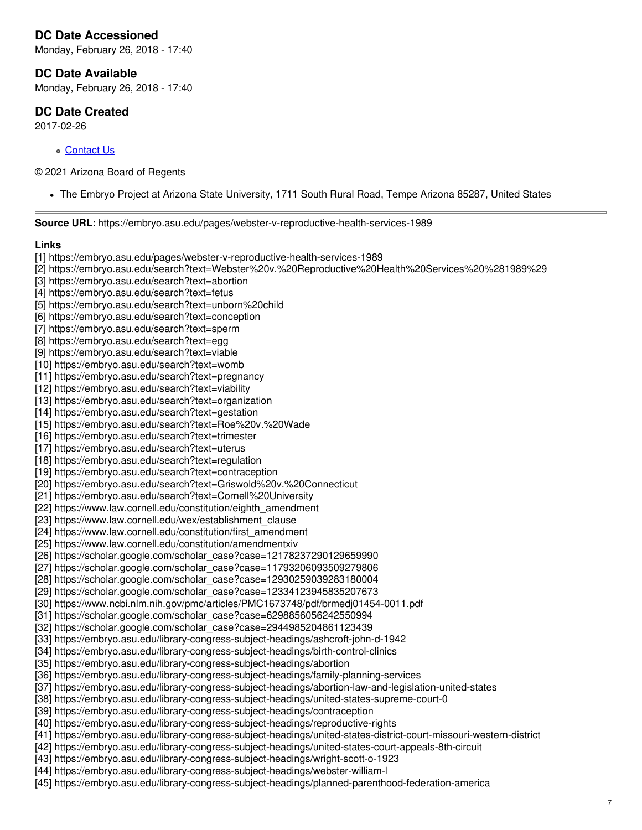# **DC Date Accessioned**

Monday, February 26, 2018 - 17:40

#### **DC Date Available**

Monday, February 26, 2018 - 17:40

#### **DC Date Created**

2017-02-26

o [Contact](https://embryo.asu.edu/contact) Us

© 2021 Arizona Board of Regents

The Embryo Project at Arizona State University, 1711 South Rural Road, Tempe Arizona 85287, United States

**Source URL:** https://embryo.asu.edu/pages/webster-v-reproductive-health-services-1989

**Links** [1] https://embryo.asu.edu/pages/webster-v-reproductive-health-services-1989 [2] https://embryo.asu.edu/search?text=Webster%20v.%20Reproductive%20Health%20Services%20%281989%29 [3] https://embryo.asu.edu/search?text=abortion [4] https://embryo.asu.edu/search?text=fetus [5] https://embryo.asu.edu/search?text=unborn%20child [6] https://embryo.asu.edu/search?text=conception [7] https://embryo.asu.edu/search?text=sperm [8] https://embryo.asu.edu/search?text=egg [9] https://embryo.asu.edu/search?text=viable [10] https://embryo.asu.edu/search?text=womb [11] https://embryo.asu.edu/search?text=pregnancy [12] https://embryo.asu.edu/search?text=viability [13] https://embryo.asu.edu/search?text=organization [14] https://embryo.asu.edu/search?text=gestation [15] https://embryo.asu.edu/search?text=Roe%20v.%20Wade [16] https://embryo.asu.edu/search?text=trimester [17] https://embryo.asu.edu/search?text=uterus [18] https://embryo.asu.edu/search?text=regulation [19] https://embryo.asu.edu/search?text=contraception [20] https://embryo.asu.edu/search?text=Griswold%20v.%20Connecticut [21] https://embryo.asu.edu/search?text=Cornell%20University [22] https://www.law.cornell.edu/constitution/eighth\_amendment [23] https://www.law.cornell.edu/wex/establishment\_clause [24] https://www.law.cornell.edu/constitution/first\_amendment [25] https://www.law.cornell.edu/constitution/amendmentxiv [26] https://scholar.google.com/scholar\_case?case=12178237290129659990 [27] https://scholar.google.com/scholar\_case?case=11793206093509279806 [28] https://scholar.google.com/scholar\_case?case=12930259039283180004 [29] https://scholar.google.com/scholar\_case?case=12334123945835207673 [30] https://www.ncbi.nlm.nih.gov/pmc/articles/PMC1673748/pdf/brmedj01454-0011.pdf [31] https://scholar.google.com/scholar\_case?case=6298856056242550994 [32] https://scholar.google.com/scholar\_case?case=2944985204861123439 [33] https://embryo.asu.edu/library-congress-subject-headings/ashcroft-john-d-1942 [34] https://embryo.asu.edu/library-congress-subject-headings/birth-control-clinics [35] https://embryo.asu.edu/library-congress-subject-headings/abortion [36] https://embryo.asu.edu/library-congress-subject-headings/family-planning-services [37] https://embryo.asu.edu/library-congress-subject-headings/abortion-law-and-legislation-united-states [38] https://embryo.asu.edu/library-congress-subject-headings/united-states-supreme-court-0 [39] https://embryo.asu.edu/library-congress-subject-headings/contraception [40] https://embryo.asu.edu/library-congress-subject-headings/reproductive-rights [41] https://embryo.asu.edu/library-congress-subject-headings/united-states-district-court-missouri-western-district [42] https://embryo.asu.edu/library-congress-subject-headings/united-states-court-appeals-8th-circuit [43] https://embryo.asu.edu/library-congress-subject-headings/wright-scott-o-1923 [44] https://embryo.asu.edu/library-congress-subject-headings/webster-william-l [45] https://embryo.asu.edu/library-congress-subject-headings/planned-parenthood-federation-america